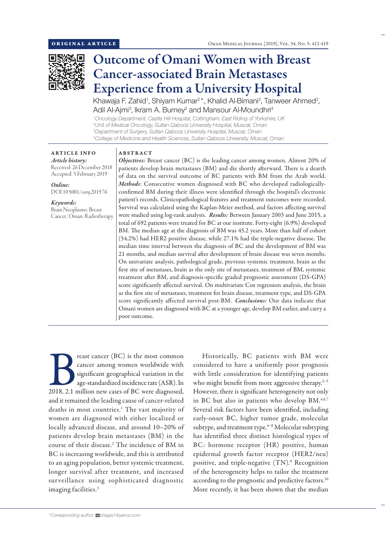

# Outcome of Omani Women with Breast Cancer-associated Brain Metastases Experience from a University Hospital

Khawaja F. Zahid<sup>1</sup>, Shiyam Kumar<sup>2\*</sup>, Khalid Al-Bimani<sup>2</sup>, Tanweer Ahmed<sup>2</sup>, Adil Al-Ajmi<sup>3</sup>, Ikram A. Burney<sup>2</sup> and Mansour Al-Moundhri<sup>4</sup>

 *Oncology Department, Castle Hill Hospital, Cottingham, East Riding of Yorkshire, UK Unit of Medical Oncology, Sultan Qaboos University Hospital, Muscat, Oman Department of Surgery, Sultan Qaboos University Hospital, Muscat, Oman College of Medicine and Health Sciences, Sultan Qaboos University, Muscat, Oman*

ARTICLE INFO *Article history:* Received: 26 December 2018 Accepted: 5 February 2019

*Online:* DOI 10.5001/omj.2019.76

### *Keywords:*

Brain Neoplasms; Breast Cancer; Oman; Radiotherapy.

### ABSTRACT

*Objectives:* Breast cancer (BC) is the leading cancer among women. Almost 20% of patients develop brain metastases (BM) and die shortly afterward. There is a dearth of data on the survival outcome of BC patients with BM from the Arab world. *Methods*: Consecutive women diagnosed with BC who developed radiologicallyconfirmed BM during their illness were identified through the hospital's electronic patient's records. Clinicopathological features and treatment outcomes were recorded. Survival was calculated using the Kaplan-Meier method, and factors affecting survival were studied using log-rank analysis. *Results:* Between January 2003 and June 2015, a total of 692 patients were treated for BC at our institute. Forty-eight (6.9%) developed BM. The median age at the diagnosis of BM was 45.2 years. More than half of cohort (54.2%) had HER2 positive disease, while 27.1% had the triple-negative disease. The median time interval between the diagnosis of BC and the development of BM was 21 months, and median survival after development of brain disease was seven months. On univariate analysis, pathological grade, previous systemic treatment, brain as the first site of metastases, brain as the only site of metastases, treatment of BM, systemic treatment after BM, and diagnosis-specific graded prognostic assessment (DS-GPA) score significantly affected survival. On multivariate Cox regression analysis, the brain as the first site of metastases, treatment for brain disease, treatment type, and DS-GPA score significantly affected survival post-BM. *Conclusions:* Our data indicate that Omani women are diagnosed with BC at a younger age, develop BM earlier, and carry a poor outcome.

Frequences (BC) is the most common cancer among women worldwide with significant geographical variation in the age-standardized incidence rate (ASR). In 2018, 2.1 million new cases of BC were diagnosed, cancer among women worldwide with significant geographical variation in the age-standardized incidence rate (ASR). In and it remained the leading cause of cancer-related deaths in most countries.<sup>1</sup> The vast majority of women are diagnosed with either localized or locally advanced disease, and around 10–20% of patients develop brain metastases (BM) in the course of their disease.2 The incidence of BM in BC is increasing worldwide, and this is attributed to an aging population, better systemic treatment, longer survival after treatment, and increased sur veillance using sophisticated diagnostic imaging facilities.3

Historically, BC patients with BM were considered to have a uniformly poor prognosis with little consideration for identifying patients who might benefit from more aggressive therapy.<sup>2-5</sup> However, there is significant heterogeneity not only in BC but also in patients who develop BM.<sup>4,6,7</sup> Several risk factors have been identified, including early-onset BC, higher tumor grade, molecular subtype, and treatment type.<sup>4-8</sup> Molecular subtyping has identified three distinct histological types of BC: hormone receptor (HR) positive, human epidermal growth factor receptor (HER2/neu) positive, and triple-negative (TN).9 Recognition of the heterogeneity helps to tailor the treatment according to the prognostic and predictive factors.<sup>10</sup> More recently, it has been shown that the median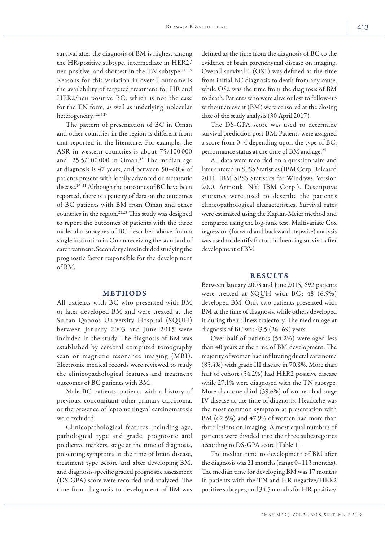survival after the diagnosis of BM is highest among the HR-positive subtype, intermediate in HER2/ neu positive, and shortest in the TN subtype.11–15 Reasons for this variation in overall outcome is the availability of targeted treatment for HR and HER2/neu positive BC, which is not the case for the TN form, as well as underlying molecular heterogeneity.12,16,17

The pattern of presentation of BC in Oman and other countries in the region is different from that reported in the literature. For example, the ASR in western countries is about 75/100 000 and  $25.5/100000$  in Oman.<sup>18</sup> The median age at diagnosis is 47 years, and between 50–60% of patients present with locally advanced or metastatic disease.<sup>19-21</sup> Although the outcomes of BC have been reported, there is a paucity of data on the outcomes of BC patients with BM from Oman and other countries in the region.22,23 This study was designed to report the outcomes of patients with the three molecular subtypes of BC described above from a single institution in Oman receiving the standard of care treatment. Secondary aims included studying the prognostic factor responsible for the development of BM.

# METHODS

All patients with BC who presented with BM or later developed BM and were treated at the Sultan Qaboos University Hospital (SQUH) between January 2003 and June 2015 were included in the study. The diagnosis of BM was established by cerebral computed tomography scan or magnetic resonance imaging (MRI). Electronic medical records were reviewed to study the clinicopathological features and treatment outcomes of BC patients with BM.

Male BC patients, patients with a history of previous, concomitant other primary carcinoma, or the presence of leptomeningeal carcinomatosis were excluded.

Clinicopathological features including age, pathological type and grade, prognostic and predictive markers, stage at the time of diagnosis, presenting symptoms at the time of brain disease, treatment type before and after developing BM, and diagnosis-specific graded prognostic assessment (DS-GPA) score were recorded and analyzed. The time from diagnosis to development of BM was defined as the time from the diagnosis of BC to the evidence of brain parenchymal disease on imaging. Overall survival-1 (OS1) was defined as the time from initial BC diagnosis to death from any cause, while OS2 was the time from the diagnosis of BM to death. Patients who were alive or lost to follow-up without an event (BM) were censored at the closing date of the study analysis (30 April 2017).

The DS-GPA score was used to determine survival prediction post-BM. Patients were assigned a score from 0–4 depending upon the type of BC, performance status at the time of BM and age.<sup>24</sup>

All data were recorded on a questionnaire and later entered in SPSS Statistics (IBM Corp. Released 2011. IBM SPSS Statistics for Windows, Version 20.0. Armonk, NY: IBM Corp.). Descriptive statistics were used to describe the patient's clinicopathological characteristics. Survival rates were estimated using the Kaplan-Meier method and compared using the log-rank test. Multivariate Cox regression (forward and backward stepwise) analysis was used to identify factors influencing survival after development of BM.

## RESULTS

Between January 2003 and June 2015, 692 patients were treated at SQUH with BC; 48 (6.9%) developed BM. Only two patients presented with BM at the time of diagnosis, while others developed it during their illness trajectory. The median age at diagnosis of BC was 43.5 (26–69) years.

Over half of patients (54.2%) were aged less than 40 years at the time of BM development. The majority of women had infiltrating ductal carcinoma (85.4%) with grade III disease in 70.8%. More than half of cohort (54.2%) had HER2 positive disease while 27.1% were diagnosed with the TN subtype. More than one-third (39.6%) of women had stage IV disease at the time of diagnosis. Headache was the most common symptom at presentation with BM (62.5%) and 47.9% of women had more than three lesions on imaging. Almost equal numbers of patients were divided into the three subcategories according to DS-GPA score [Table 1].

The median time to development of BM after the diagnosis was 21 months (range 0–113 months). The median time for developing BM was 17 months in patients with the TN and HR-negative/HER2 positive subtypes, and 34.5 months for HR-positive/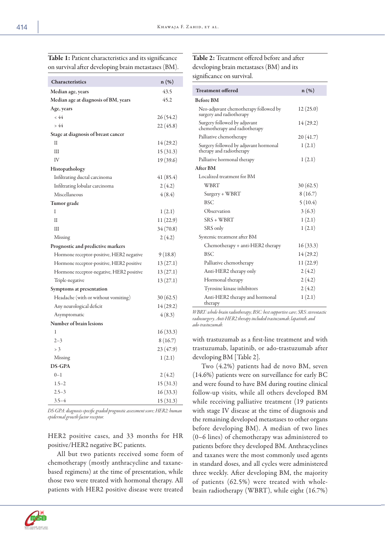Table 1: Patient characteristics and its significance on survival after developing brain metastases (BM).

| Characteristics                          | $n(\%)$   |
|------------------------------------------|-----------|
|                                          |           |
| Median age, years                        | 43.5      |
| Median age at diagnosis of BM, years     | 45.2      |
| Age, years<br>< 44                       |           |
| > 44                                     | 26 (54.2) |
|                                          | 22 (45.8) |
| Stage at diagnosis of breast cancer<br>Н | 14 (29.2) |
| Ш                                        | 15 (31.3) |
| IV                                       | 19 (39.6) |
| Histopathology                           |           |
| Infiltrating ductal carcinoma            | 41 (85.4) |
| Infiltrating lobular carcinoma           | 2(4.2)    |
| Miscellaneous                            | 4(8.4)    |
| Tumor grade                              |           |
| I                                        | 1(2.1)    |
| Н                                        | 11 (22.9) |
| Ш                                        | 34 (70.8) |
| Missing                                  | 2(4.2)    |
| Prognostic and predictive markers        |           |
| Hormone receptor-positive, HER2 negative | 9(18.8)   |
| Hormone receptor-positive, HER2 positive | 13 (27.1) |
| Hormone receptor-negative, HER2 positive | 13 (27.1) |
| Triple-negative                          | 13 (27.1) |
| Symptoms at presentation                 |           |
| Headache (with or without vomiting)      | 30(62.5)  |
| Any neurological deficit                 | 14(29.2)  |
| Asymptomatic                             | 4(8.3)    |
| Number of brain lesions                  |           |
| 1                                        | 16(33.3)  |
| $2 - 3$                                  | 8(16.7)   |
| $>$ 3                                    | 23 (47.9) |
| Missing                                  | 1(2.1)    |
| <b>DS-GPA</b>                            |           |
| $0 - 1$                                  | 2(4.2)    |
| $1.5 - 2$                                | 15 (31.3) |
| $2.5 - 3$                                | 16(33.3)  |
| $3.5 - 4$                                | 15(31.3)  |

*DS-GPA: diagnosis-specific graded prognostic assessment score; HER2: human epidermal growth factor receptor.*

HER2 positive cases, and 33 months for HR positive/HER2 negative BC patients.

All but two patients received some form of chemotherapy (mostly anthracycline and taxanebased regimens) at the time of presentation, while those two were treated with hormonal therapy. All patients with HER2 positive disease were treated



| <b>Treatment offered</b>                                          | $n(\%)$   |  |
|-------------------------------------------------------------------|-----------|--|
| <b>Before BM</b>                                                  |           |  |
| Neo-adjuvant chemotherapy followed by<br>surgery and radiotherapy | 12(25.0)  |  |
| Surgery followed by adjuvant<br>chemotherapy and radiotherapy     | 14(29.2)  |  |
| Palliative chemotherapy                                           | 20(41.7)  |  |
| Surgery followed by adjuvant hormonal<br>therapy and radiotherapy | 1(2.1)    |  |
| Palliative hormonal therapy                                       | 1(2.1)    |  |
| After BM                                                          |           |  |
| Localized treatment for BM                                        |           |  |
| <b>WBRT</b>                                                       | 30(62.5)  |  |
| Surgery + WBRT                                                    | 8(16.7)   |  |
| <b>BSC</b>                                                        | 5(10.4)   |  |
| Observation                                                       | 3(6.3)    |  |
| $SRS + WBRT$                                                      | 1(2.1)    |  |
| SRS only                                                          | 1(2.1)    |  |
| Systemic treatment after BM                                       |           |  |
| Chemotherapy + anti-HER2 therapy                                  | 16(33.3)  |  |
| <b>BSC</b>                                                        | 14 (29.2) |  |
| Palliative chemotherapy                                           | 11(22.9)  |  |
| Anti-HER2 therapy only                                            | 2(4.2)    |  |
| Hormonal therapy                                                  | 2(4.2)    |  |
| Tyrosine kinase inhibitors                                        | 2(4.2)    |  |
| Anti-HER2 therapy and hormonal<br>therapy                         | 1(2.1)    |  |

*WBRT: whole-brain radiotherapy; BSC: best supportive care; SRS: stereotactic radiosurgery. Anti-HER2 therapy included trastuzumab, lapatinib, and ado-trastuzumab.*

with trastuzumab as a first-line treatment and with trastuzumab, lapatinib, or ado-trastuzumab after developing BM [Table 2].

Two (4.2%) patients had de novo BM, seven (14.6%) patients were on surveillance for early BC and were found to have BM during routine clinical follow-up visits, while all others developed BM while receiving palliative treatment (19 patients with stage IV disease at the time of diagnosis and the remaining developed metastases to other organs before developing BM). A median of two lines (0–6 lines) of chemotherapy was administered to patients before they developed BM. Anthracyclines and taxanes were the most commonly used agents in standard doses, and all cycles were administered three weekly. After developing BM, the majority of patients (62.5%) were treated with wholebrain radiotherapy (WBRT), while eight (16.7%)

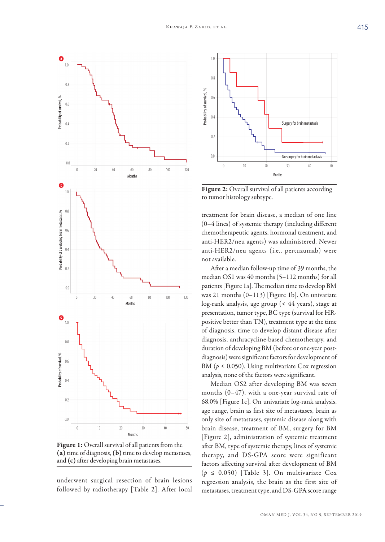

Figure 1: Overall survival of all patients from the (a) time of diagnosis, (b) time to develop metastases, and (c) after developing brain metastases.

underwent surgical resection of brain lesions followed by radiotherapy [Table 2]. After local



Figure 2: Overall survival of all patients according to tumor histology subtype.

treatment for brain disease, a median of one line (0–4 lines) of systemic therapy (including different chemotherapeutic agents, hormonal treatment, and anti-HER2/neu agents) was administered. Newer anti-HER2/neu agents (i.e., pertuzumab) were not available.

After a median follow-up time of 39 months, the median OS1 was 40 months (5–112 months) for all patients [Figure 1a]. The median time to develop BM was 21 months (0–113) [Figure 1b]. On univariate log-rank analysis, age group (< 44 years), stage at presentation, tumor type, BC type (survival for HRpositive better than TN), treatment type at the time of diagnosis, time to develop distant disease after diagnosis, anthracycline-based chemotherapy, and duration of developing BM (before or one-year postdiagnosis) were significant factors for development of BM ( $p \leq 0.050$ ). Using multivariate Cox regression analysis, none of the factors were significant.

Median OS2 after developing BM was seven months (0–47), with a one-year survival rate of 68.0% [Figure 1c]. On univariate log-rank analysis, age range, brain as first site of metastases, brain as only site of metastases, systemic disease along with brain disease, treatment of BM, surgery for BM [Figure 2], administration of systemic treatment after BM, type of systemic therapy, lines of systemic therapy, and DS-GPA score were significant factors affecting survival after development of BM (*p* ≤ 0.050) [Table 3]. On multivariate Cox regression analysis, the brain as the first site of metastases, treatment type, and DS-GPA score range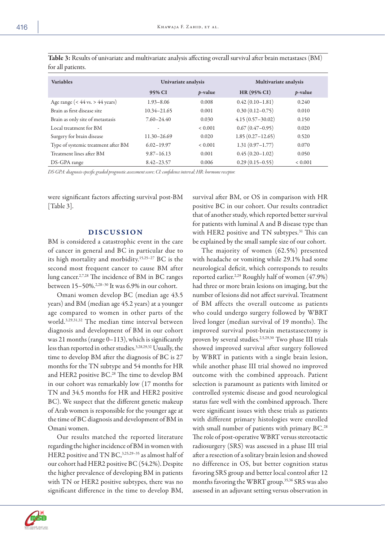| <b>Variables</b>                    | Univariate analysis |                 | Multivariate analysis |                 |
|-------------------------------------|---------------------|-----------------|-----------------------|-----------------|
|                                     | 95% CI              | <i>p</i> -value | $HR(95\% CI)$         | <i>p</i> -value |
| Age range ( $<$ 44 vs. > 44 years)  | $1.93 - 8.06$       | 0.008           | $0.42(0.10-1.81)$     | 0.240           |
| Brain as first disease site         | $10.34 - 21.65$     | 0.001           | $0.30(0.12 - 0.75)$   | 0.010           |
| Brain as only site of metastasis    | $7.60 - 24.40$      | 0.030           | $4.15(0.57-30.02)$    | 0.150           |
| Local treatment for BM              | ۰                   | < 0.001         | $0.67(0.47-0.95)$     | 0.020           |
| Surgery for brain disease           | 11.30-26.69         | 0.020           | $1.85(0.27-12.65)$    | 0.520           |
| Type of systemic treatment after BM | $6.02 - 19.97$      | < 0.001         | $1.31(0.97 - 1.77)$   | 0.070           |
| Treatment lines after BM            | $9.87 - 16.13$      | 0.001           | $0.45(0.20-1.02)$     | 0.050           |
| DS-GPA range                        | $8.42 - 23.57$      | 0.006           | $0.29(0.15-0.55)$     | ${}< 0.001$     |

Table 3: Results of univariate and multivariate analysis affecting overall survival after brain metastases (BM) for all patients.

*DS-GPA: diagnosis-specific graded prognostic assessment score; CI: confidence interval; HR: hormone receptor.*

were significant factors affecting survival post-BM [Table 3].

## DISCUSSION

BM is considered a catastrophic event in the care of cancer in general and BC in particular due to its high mortality and morbidity.15,25–27 BC is the second most frequent cancer to cause BM after lung cancer.2,7,28 The incidence of BM in BC ranges between 15–50%.2,28–30 It was 6.9% in our cohort.

Omani women develop BC (median age 43.5 years) and BM (median age 45.2 years) at a younger age compared to women in other parts of the world.3,29,31,32 The median time interval between diagnosis and development of BM in our cohort was 21 months (range  $0-113$ ), which is significantly less than reported in other studies.3,28,29,32 Usually, the time to develop BM after the diagnosis of BC is 27 months for the TN subtype and 54 months for HR and HER2 positive BC.<sup>28</sup> The time to develop BM in our cohort was remarkably low (17 months for TN and 34.5 months for HR and HER2 positive BC). We suspect that the different genetic makeup of Arab women is responsible for the younger age at the time of BC diagnosis and development of BM in Omani women.

Our results matched the reported literature regarding the higher incidence of BM in women with HER2 positive and TN BC, 3,25,29-35 as almost half of our cohort had HER2 positive BC (54.2%). Despite the higher prevalence of developing BM in patients with TN or HER2 positive subtypes, there was no significant difference in the time to develop BM,

survival after BM, or OS in comparison with HR positive BC in our cohort. Our results contradict that of another study, which reported better survival for patients with luminal A and B disease type than with HER2 positive and TN subtypes.<sup>31</sup> This can be explained by the small sample size of our cohort.

The majority of women (62.5%) presented with headache or vomiting while 29.1% had some neurological deficit, which corresponds to results reported earlier.<sup>2,29</sup> Roughly half of women (47.9%) had three or more brain lesions on imaging, but the number of lesions did not affect survival. Treatment of BM affects the overall outcome as patients who could undergo surgery followed by WBRT lived longer (median survival of 19 months). The improved survival post-brain metastasectomy is proven by several studies.2,5,29,30 Two phase III trials showed improved survival after surgery followed by WBRT in patients with a single brain lesion, while another phase III trial showed no improved outcome with the combined approach. Patient selection is paramount as patients with limited or controlled systemic disease and good neurological status fare well with the combined approach. There were significant issues with these trials as patients with different primary histologies were enrolled with small number of patients with primary BC.<sup>28</sup> The role of post-operative WBRT versus stereotactic radiosurgery (SRS) was assessed in a phase III trial after a resection of a solitary brain lesion and showed no difference in OS, but better cognition status favoring SRS group and better local control after 12 months favoring the WBRT group.35,36 SRS was also assessed in an adjuvant setting versus observation in

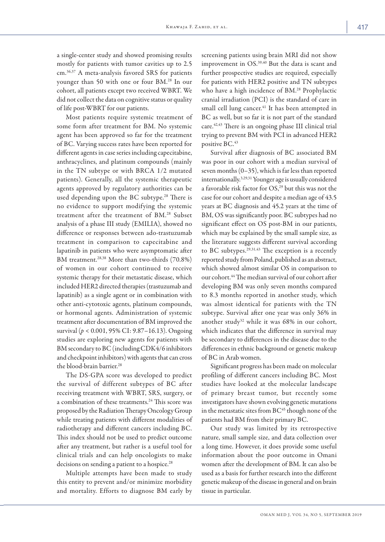a single-center study and showed promising results mostly for patients with tumor cavities up to 2.5 cm.36,37 A meta-analysis favored SRS for patients younger than 50 with one or four BM. 28 In our cohort, all patients except two received WBRT. We did not collect the data on cognitive status or quality of life post-WBRT for our patients.

Most patients require systemic treatment of some form after treatment for BM. No systemic agent has been approved so far for the treatment of BC. Varying success rates have been reported for different agents in case series including capecitabine, anthracyclines, and platinum compounds (mainly in the TN subtype or with BRCA 1/2 mutated patients). Generally, all the systemic therapeutic agents approved by regulatory authorities can be used depending upon the BC subtype.<sup>28</sup> There is no evidence to support modifying the systemic treatment after the treatment of BM. 28 Subset analysis of a phase III study (EMILIA), showed no difference or responses between ado-trastuzumab treatment in comparison to capecitabine and lapatinib in patients who were asymptomatic after BM treatment.<sup>28,38</sup> More than two-thirds (70.8%) of women in our cohort continued to receive systemic therapy for their metastatic disease, which included HER2 directed therapies (trastuzumab and lapatinib) as a single agent or in combination with other anti-cytotoxic agents, platinum compounds, or hormonal agents. Administration of systemic treatment after documentation of BM improved the survival (*p* < 0.001, 95% CI: 9.87–16.13). Ongoing studies are exploring new agents for patients with BM secondary to BC (including CDK4/6 inhibitors and checkpoint inhibitors) with agents that can cross the blood-brain barrier.28

The DS-GPA score was developed to predict the survival of different subtypes of BC after receiving treatment with WBRT, SRS, surgery, or a combination of these treatments.<sup>24</sup> This score was proposed by the Radiation Therapy Oncology Group while treating patients with different modalities of radiotherapy and different cancers including BC. This index should not be used to predict outcome after any treatment, but rather is a useful tool for clinical trials and can help oncologists to make decisions on sending a patient to a hospice.<sup>28</sup>

Multiple attempts have been made to study this entity to prevent and/or minimize morbidity and mortality. Efforts to diagnose BM early by screening patients using brain MRI did not show improvement in OS.39,40 But the data is scant and further prospective studies are required, especially for patients with HER2 positive and TN subtypes who have a high incidence of BM. <sup>28</sup> Prophylactic cranial irradiation (PCI) is the standard of care in small cell lung cancer.<sup>41</sup> It has been attempted in BC as well, but so far it is not part of the standard care.42,43 There is an ongoing phase III clinical trial trying to prevent BM with PCI in advanced HER2 positive BC.<sup>43</sup>

Survival after diagnosis of BC associated BM was poor in our cohort with a median survival of seven months (0–35), which is far less than reported internationally.3,29,31 Younger age is usually considered a favorable risk factor for OS,<sup>29</sup> but this was not the case for our cohort and despite a median age of 43.5 years at BC diagnosis and 45.2 years at the time of BM, OS was significantly poor. BC subtypes had no significant effect on OS post-BM in our patients, which may be explained by the small sample size, as the literature suggests different survival according to BC subtypes. $29,31,43$  The exception is a recently reported study from Poland, published as an abstract, which showed almost similar OS in comparison to our cohort.44 The median survival of our cohort after developing BM was only seven months compared to 8.3 months reported in another study, which was almost identical for patients with the TN subtype. Survival after one year was only 36% in another study<sup>32</sup> while it was  $68\%$  in our cohort, which indicates that the difference in survival may be secondary to differences in the disease due to the differences in ethnic background or genetic makeup of BC in Arab women.

Significant progress has been made on molecular profiling of different cancers including BC. Most studies have looked at the molecular landscape of primary breast tumor, but recently some investigators have shown evolving genetic mutations in the metastatic sites from  $BC<sup>45</sup>$  though none of the patients had BM from their primary BC.

Our study was limited by its retrospective nature, small sample size, and data collection over a long time. However, it does provide some useful information about the poor outcome in Omani women after the development of BM. It can also be used as a basis for further research into the different genetic makeup of the disease in general and on brain tissue in particular.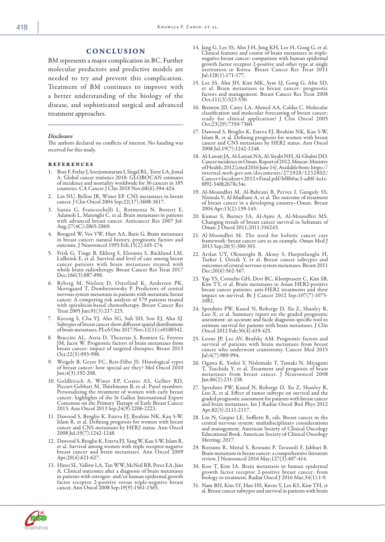BM represents a major complication in BC. Further molecular predictors and predictive models are needed to try and prevent this complication. Treatment of BM continues to improve with a better understanding of the biology of the disease, and sophisticated surgical and advanced treatment approaches.

#### *Disclosure*

The authors declared no conflicts of interest. No funding was received for this study.

#### references

- 1. Bray F, Ferlay J, Soerjomataram I, Siegel RL, Torre LA, Jemal A. Global cancer statistics 2018: GLOBOCAN estimates of incidence and mortality worldwide for 36 cancers in 185 countries. CA Cancer J Clin 2018 Nov;68(6):394-424.
- 2. Lin NU, Bellon JR, Winer EP. CNS metastases in breast cancer. J Clin Oncol 2004 Sep;22(17):3608-3617.
- 3. Sanna G, Franceschelli L, Rotmensz N, Botteri E, Adamoli L, Marenghi C, et al. Brain metastases in patients with advanced breast cancer. Anticancer Res 2007 Jul-Aug;27(4C):2865-2869.
- 4. Boogerd W, Vos VW, Hart AA, Baris G. Brain metastases in breast cancer; natural history, prognostic factors and outcome. J Neurooncol 1993 Feb;15(2):165-174.
- 5. Frisk G, Tinge B, Ekberg S, Eloranta S, Bäcklund LM, Lidbrink E, et al. Survival and level of care among breast cancer patients with brain metastases treated with whole brain radiotherapy. Breast Cancer Res Treat 2017 Dec;166(3):887-896.
- 6. Ryberg M, Nielsen D, Osterlind K, Andersen PK, Skovsgaard T, Dombernowsky P. Predictors of central nervous system metastasis in patients with metastatic breast cancer. A competing risk analysis of 579 patients treated with epirubicin-based chemotherapy. Breast Cancer Res Treat 2005 Jun;91(3):217-225.
- 7. Kyeong S, Cha YJ, Ahn SG, Suh SH, Son EJ, Ahn SJ. Subtypes of breast cancer show different spatial distributions of brain metastases. PLoS One 2017 Nov;12(11):e0188542.
- 8. Braccini AL, Azria D, Thezenas S, Romieu G, Ferrero breast cancer: impact of targeted therapies. Breast 2013 Oct;22(5):993-998.
- 9. Weigelt B, Geyer FC, Reis-Filho JS. Histological types of breast cancer: how special are they? Mol Oncol 2010 Jun;4(3):192-208.
- 10. Goldhirsch A, Winer EP, Coates AS, Gelber RD, Piccart-Gebhart M, Thürlimann B, et al; Panel members. Personalizing the treatment of women with early breast cancer: highlights of the St Gallen International Expert cancer: highlights of the St Gallen International Expert Consensus on the Primary Therapy of Early Breast Cancer 2013. Ann Oncol 2013 Sep;24(9):2206-2223.
- 11. Dawood S, Broglio K, Esteva FJ, Ibrahim NK, Kau S-W, cancer and CNS metastases by HER2 status. Ann Oncol 2008 Jul;19(7):1242-1248.
- 12. Dawood S, Broglio K, Esteva FJ, Yang W, Kau S-W, Islam R, et al. Survival among women with triple receptor-negative breast cancer and brain metastases. Ann Oncol 2009 Apr;20(4):621-627.
- 13. Hines SL, Vallow LA, Tan WW, McNeil RB, Perez EA, Jain A. Clinical outcomes after a diagnosis of brain metastases in patients with estrogen- and/or human epidermal growth factor receptor 2-positive versus triple-negative breast cancer. Ann Oncol 2008 Sep;19(9):1561-1565.
- 14. Jang G, Lee SS, Ahn J-H, Jung KH, Lee H, Gong G, et al. Clinical features and course of brain metastases in triplenegative breast cancer: comparison with human epidermal growth factor receptor 2-positive and other type at single institution in Korea. Breast Cancer Res Treat 2011 Jul;128(1):171-177.
- 15. Lee SS, Ahn JH, Kim MK, Sym SJ, Gong G, Ahn SD, et al. Brain metastases in breast cancer: prognostic factors and management. Breast Cancer Res Treat 2008 Oct;111(3):523-530.
- 16. Brenton JD, Carey LA, Ahmed AA, Caldas C. Molecular classification and molecular forecasting of breast cancer: ready for clinical application? J Clin Oncol 2005 Oct;23(29):7350-7360.
- 17. Dawood S, Broglio K, Esteva FJ, Ibrahim NK, Kau S-W, Islam R, et al. Defining prognosis for women with breast cancer and CNS metastases by HER2 status. Ann Oncol 2008 Jul;19(7):1242-1248.
- 18. Al-Lawati JA, Al-Lawati NA, Al-Siyabi NH, Al-Ghabri DO. of Health; 2012 [cited 2016 June 14]. Available from: https://<br>internal.moh.gov.om/documents/272928/1232802/ Cancer+Incident+2012+Final.pdf/bf8b0ac3-ad0f-4a1e-8f92-340b2b78c34e.
- 19. Al-Moundhri M, Al-Bahrani B, Pervez I, Ganguly SS, Nirmala V, Al-Madhani A, et al. The outcome of treatment of breast cancer in a developing country–Oman. Breast 2004 Apr;13(2):139-145.
- 20. Kumar S, Burney IA, Al-Ajmi A, Al-Moundhri MS. Changing trends of breast cancer survival in Sultanate of Oman. J Oncol 2011;2011:316243.
- 21. Al-Moundhri M. The need for holistic cancer care framework: breast cancer care as an example. Oman Med J 2013 Sep;28(5):300-301.
- 22. Arslan UY, Oksuzoglu B, Aksoy S, Harputluoglu H, outcomes of central nervous system metastases. Breast 2011 Dec;20(6):562-567.
- 23. Yap YS, Cornelio GH, Devi BC, Khorprasert C, Kim SB, Kim TY, et al. Brain metastases in Asian HER2-positive breast cancer patients: anti-HER2 treatments and their impact on survival. Br J Cancer 2012 Sep;107(7):1075- 1082.
- 24. Sperduto PW, Kased N, Roberge D, Xu Z, Shanley R, Luo X, et al. Summary report on the graded prognostic assessment: an accurate and facile diagnosis-specific tool to estimate survival for patients with brain metastases. J Clin Oncol 2012 Feb;30(4):419-425.
- 25. Leone JP, Lee AV, Brufsky AM. Prognostic factors and survival of patients with brain metastasis from breast cancer who underwent craniotomy. Cancer Med 2015 Jul;4(7):989-994.
- 26. Ogawa K, Yoshii Y, Nishimaki T, Tamaki N, Miyaguni T, Tsuchida Y, et al. Treatment and prognosis of brain metastases from breast cancer. J Neurooncol 2008 Jan;86(2):231-238.
- 27. Sperduto PW, Kased N, Roberge D, Xu Z, Shanley R, Luo X, et al. Effect of tumor subtype on survival and the graded prognostic assessment for patients with breast cancer and brain metastases. Int J Radiat Oncol Biol Phys 2012 Apr;82(5):2111-2117.
- 28. Lin N, Gaspar LE, Soffietti R, eds. Breast cancer in the central nervous system: multidisciplinary considerations and management. American Society of Clinical Oncology Educational Book. American Society of Clinical Oncology Meeting; 2017.
- 29. Rostami R, Mittal S, Rostami P, Tavassoli F, Jabbari B. Brain metastasis in breast cancer: a comprehensive literature review. J Neurooncol 2016 May;127(3):407-414.
- 30. Koo T, Kim IA. Brain metastasis in human epidermal growth factor receptor 2-positive breast cancer: from biology to treatment. Radiat Oncol J 2016 Mar;34(1):1-9.
- 31. Nam BH, Kim SY, Han HS, Kwon Y, Lee KS, Kim TH, et al. Breast cancer subtypes and survival in patients with brain